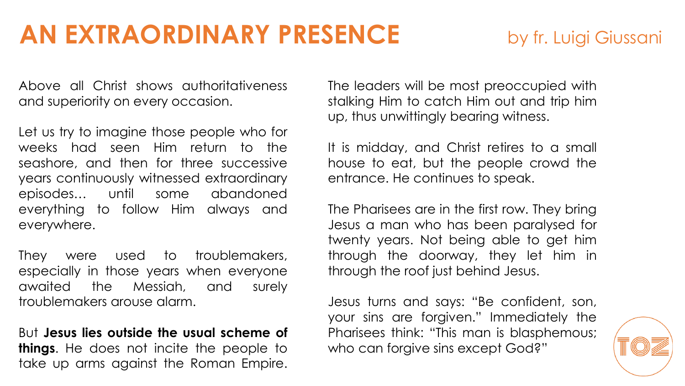Above all Christ shows authoritativeness and superiority on every occasion.

Let us try to imagine those people who for weeks had seen Him return to the seashore, and then for three successive years continuously witnessed extraordinary episodes… until some abandoned everything to follow Him always and everywhere.

They were used to troublemakers, especially in those years when everyone awaited the Messiah, and surely troublemakers arouse alarm.

But **Jesus lies outside the usual scheme of things**. He does not incite the people to take up arms against the Roman Empire.

The leaders will be most preoccupied with stalking Him to catch Him out and trip him up, thus unwittingly bearing witness.

It is midday, and Christ retires to a small house to eat, but the people crowd the entrance. He continues to speak.

The Pharisees are in the first row. They bring Jesus a man who has been paralysed for twenty years. Not being able to get him through the doorway, they let him in through the roof just behind Jesus.

Jesus turns and says: "Be confident, son, your sins are forgiven." Immediately the Pharisees think: "This man is blasphemous; who can forgive sins except God?"

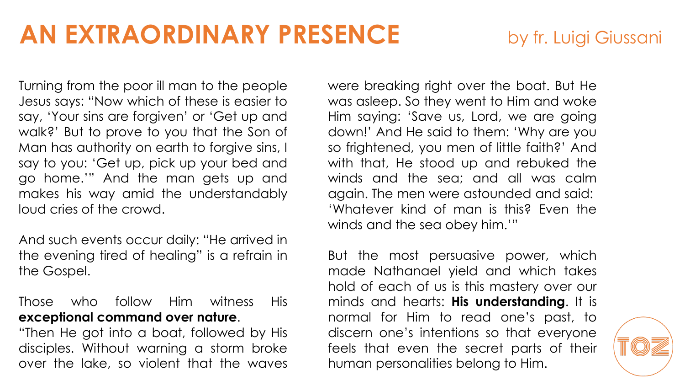Turning from the poor ill man to the people Jesus says: "Now which of these is easier to say, 'Your sins are forgiven' or 'Get up and walk?' But to prove to you that the Son of Man has authority on earth to forgive sins, I say to you: 'Get up, pick up your bed and go home.'" And the man gets up and makes his way amid the understandably loud cries of the crowd.

And such events occur daily: "He arrived in the evening tired of healing" is a refrain in the Gospel.

## Those who follow Him witness His **exceptional command over nature**.

"Then He got into a boat, followed by His disciples. Without warning a storm broke over the lake, so violent that the waves were breaking right over the boat. But He was asleep. So they went to Him and woke Him saying: 'Save us, Lord, we are going down!' And He said to them: 'Why are you so frightened, you men of little faith?' And with that, He stood up and rebuked the winds and the sea; and all was calm again. The men were astounded and said: 'Whatever kind of man is this? Even the winds and the sea obey him.'"

But the most persuasive power, which made Nathanael yield and which takes hold of each of us is this mastery over our minds and hearts: **His understanding**. It is normal for Him to read one's past, to discern one's intentions so that everyone feels that even the secret parts of their human personalities belong to Him.

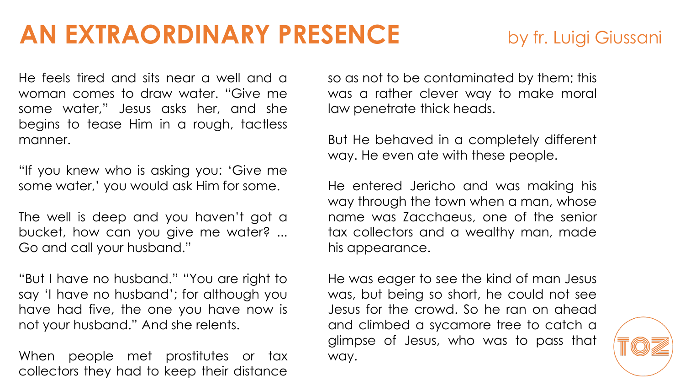He feels tired and sits near a well and a woman comes to draw water. "Give me some water," Jesus asks her, and she begins to tease Him in a rough, tactless manner.

"If you knew who is asking you: 'Give me some water,' you would ask Him for some.

The well is deep and you haven't got a bucket, how can you give me water? ... Go and call your husband."

"But I have no husband." "You are right to say 'I have no husband'; for although you have had five, the one you have now is not your husband." And she relents.

When people met prostitutes or tax collectors they had to keep their distance

so as not to be contaminated by them; this was a rather clever way to make moral law penetrate thick heads.

But He behaved in a completely different way. He even ate with these people.

He entered Jericho and was making his way through the town when a man, whose name was Zacchaeus, one of the senior tax collectors and a wealthy man, made his appearance.

He was eager to see the kind of man Jesus was, but being so short, he could not see Jesus for the crowd. So he ran on ahead and climbed a sycamore tree to catch a glimpse of Jesus, who was to pass that way.